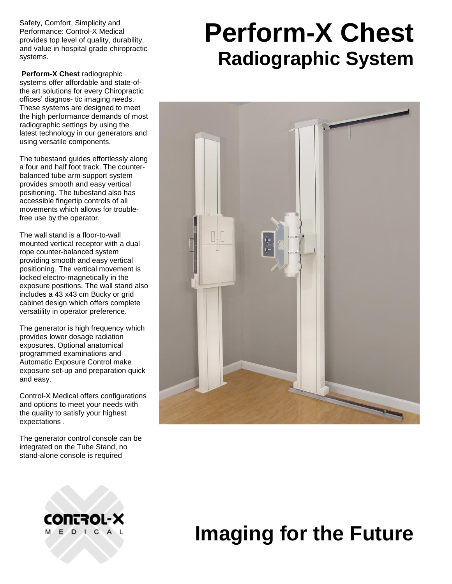Safety, Comfort, Simplicity and Performance: Control-X Medical provides top level of quality, durability, and value in hospital grade chiropractic systems.

**Perform-X Chest** radiographic systems offer affordable and state-ofthe art solutions for every Chiropractic offices' diagnos- tic imaging needs. These systems are designed to meet the high performance demands of most radiographic settings by using the latest technology in our generators and using versatile components.

The tubestand guides effortlessly along a four and half foot track. The counterbalanced tube arm support system provides smooth and easy vertical positioning. The tubestand also has accessible fingertip controls of all movements which allows for troublefree use by the operator.

The wall stand is a floor-to-wall mounted vertical receptor with a dual rope counter-balanced system providing smooth and easy vertical positioning. The vertical movement is locked electro-magnetically in the exposure positions. The wall stand also includes a 43 x43 cm Bucky or grid cabinet design which offers complete versatility in operator preference.

The generator is high frequency which provides lower dosage radiation exposures. Optional anatomical programmed examinations and Automatic Exposure Control make exposure set-up and preparation quick and easy.

Control-X Medical offers configurations and options to meet your needs with the quality to satisfy your highest expectations .

The generator control console can be integrated on the Tube Stand, no stand-alone console is required

# **Perform-X Chest Radiographic System**





## **Imaging for the Future**